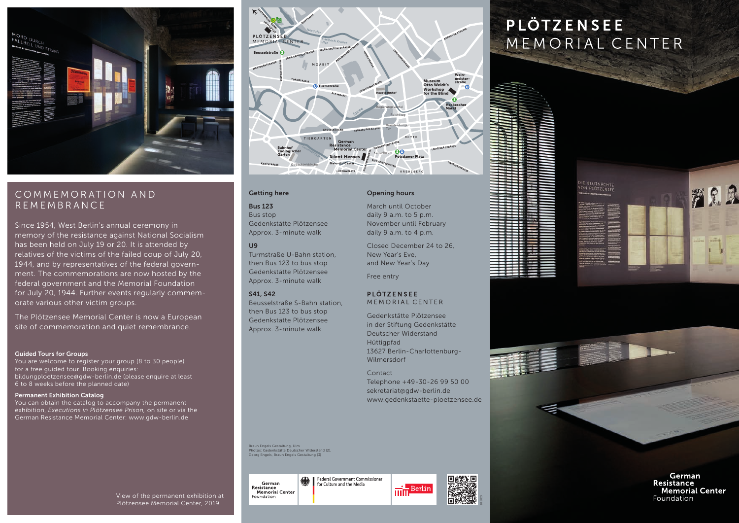

# COMMEMORATION AND REMEMBRANCE

Since 1954, West Berlin's annual ceremony in memory of the resistance against National Socialism has been held on July 19 or 20. It is attended by relatives of the victims of the failed coup of July 20, 1944, and by representatives of the federal government. The commemorations are now hosted by the federal government and the Memorial Foundation for July 20, 1944. Further events regularly commemorate various other victim groups.

The Plötzensee Memorial Center is now a European site of commemoration and quiet remembrance.

#### Guided Tours for Groups

You are welcome to register your group (8 to 30 people) for a free guided tour. Booking enquiries: bildungploetzensee@gdw-berlin.de (please enquire at least 6 to 8 weeks before the planned date)

#### Permanent Exhibition Catalog

You can obtain the catalog to accompany the permanent exhibition, *Executions in Plötzensee Prison,* on site or via the German Resistance Memorial Center: www.gdw-berlin.de



#### Getting here

## Bus 123

Bus stop Gedenkstätte Plötzensee Approx. 3-minute walk

## U9

Turmstraße U-Bahn station, then Bus 123 to bus stop Gedenkstätte Plötzensee Approx. 3-minute walk

## S41, S42

Beusselstraße S-Bahn station, then Bus 123 to bus stop Gedenkstätte Plötzensee Approx. 3-minute walk

### Opening hours

March until October daily 9 a.m. to 5 p.m. November until February daily 9 a.m. to 4 p.m.

Closed December 24 to 26, New Year's Eve, and New Year's Day

Free entry

## **PLÖTZENSEE** MEMORIAL CENTER

Gedenkstätte Plötzensee in der Stiftung Gedenkstätte Deutscher Widerstand Hüttigpfad 13627 Berlin-Charlottenburg-Wilmersdorf

Contact Telephone +49-30-26 99 50 00 sekretariat@gdw-berlin.de www.gedenkstaette-ploetzensee.de

Braun Engels Gestaltung, Ulm Photos: Gedenkstätte Deutscher Widerstand (2), Georg Engels, Braun Engels Gestaltung (3)

Federal Government Commissioner German for Culture and the Media Resistance<br>Memorial Center Foundation



# **PLÖTZENSEE** MEMORIAL CENTER







German Resistance **Memorial Center** Foundation

View of the permanent exhibition at Plötzensee Memorial Center, 2019.